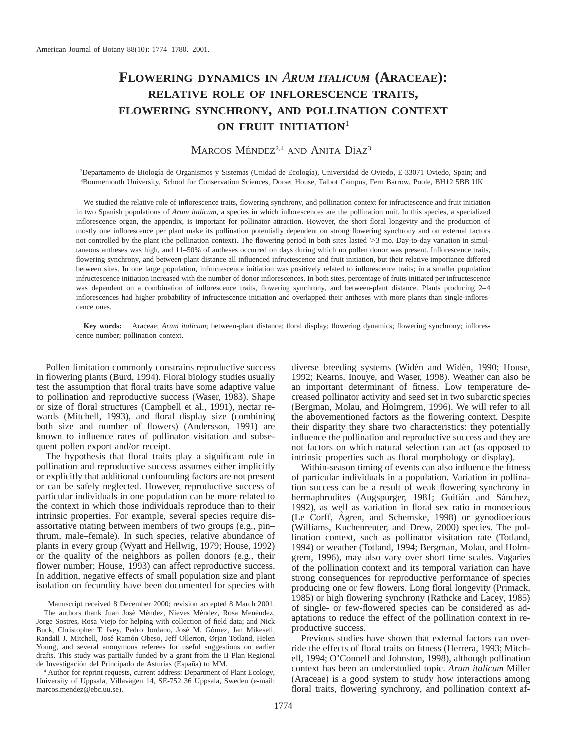# **FLOWERING DYNAMICS IN** *ARUM ITALICUM* **(ARACEAE): RELATIVE ROLE OF INFLORESCENCE TRAITS, FLOWERING SYNCHRONY, AND POLLINATION CONTEXT ON FRUIT INITIATION**<sup>1</sup>

# MARCOS MÉNDEZ<sup>2,4</sup> AND ANITA DÍAZ<sup>3</sup>

<sup>2</sup>Departamento de Biología de Organismos y Sistemas (Unidad de Ecología), Universidad de Oviedo, E-33071 Oviedo, Spain; and 3 Bournemouth University, School for Conservation Sciences, Dorset House, Talbot Campus, Fern Barrow, Poole, BH12 5BB UK

We studied the relative role of inflorescence traits, flowering synchrony, and pollination context for infructescence and fruit initiation in two Spanish populations of *Arum italicum,* a species in which inflorescences are the pollination unit. In this species, a specialized inflorescence organ, the appendix, is important for pollinator attraction. However, the short floral longevity and the production of mostly one inflorescence per plant make its pollination potentially dependent on strong flowering synchrony and on external factors not controlled by the plant (the pollination context). The flowering period in both sites lasted >3 mo. Day-to-day variation in simultaneous antheses was high, and 11–50% of antheses occurred on days during which no pollen donor was present. Inflorescence traits, flowering synchrony, and between-plant distance all influenced infructescence and fruit initiation, but their relative importance differed between sites. In one large population, infructescence initiation was positively related to inflorescence traits; in a smaller population infructescence initiation increased with the number of donor inflorescences. In both sites, percentage of fruits initiated per infructescence was dependent on a combination of inflorescence traits, flowering synchrony, and between-plant distance. Plants producing 2–4 inflorescences had higher probability of infructescence initiation and overlapped their antheses with more plants than single-inflorescence ones.

**Key words:** Araceae; *Arum italicum*; between-plant distance; floral display; flowering dynamics; flowering synchrony; inflorescence number; pollination context.

Pollen limitation commonly constrains reproductive success in flowering plants (Burd, 1994). Floral biology studies usually test the assumption that floral traits have some adaptive value to pollination and reproductive success (Waser, 1983). Shape or size of floral structures (Campbell et al., 1991), nectar rewards (Mitchell, 1993), and floral display size (combining both size and number of flowers) (Andersson, 1991) are known to influence rates of pollinator visitation and subsequent pollen export and/or receipt.

The hypothesis that floral traits play a significant role in pollination and reproductive success assumes either implicitly or explicitly that additional confounding factors are not present or can be safely neglected. However, reproductive success of particular individuals in one population can be more related to the context in which those individuals reproduce than to their intrinsic properties. For example, several species require disassortative mating between members of two groups (e.g., pin– thrum, male–female). In such species, relative abundance of plants in every group (Wyatt and Hellwig, 1979; House, 1992) or the quality of the neighbors as pollen donors (e.g., their flower number; House, 1993) can affect reproductive success. In addition, negative effects of small population size and plant isolation on fecundity have been documented for species with

<sup>1</sup> Manuscript received 8 December 2000; revision accepted 8 March 2001.

The authors thank Juan José Méndez, Nieves Méndez, Rosa Menéndez, Jorge Sostres, Rosa Viejo for helping with collection of field data; and Nick Buck, Christopher T. Ivey, Pedro Jordano, José M. Gómez, Jan Mikesell, Randall J. Mitchell, José Ramón Obeso, Jeff Ollerton, Ørjan Totland, Helen Young, and several anonymous referees for useful suggestions on earlier drafts. This study was partially funded by a grant from the II Plan Regional de Investigación del Principado de Asturias (España) to MM.

<sup>4</sup> Author for reprint requests, current address: Department of Plant Ecology, University of Uppsala, Villavägen 14, SE-752 36 Uppsala, Sweden (e-mail: marcos.mendez@ebc.uu.se).

diverse breeding systems (Widén and Widén, 1990; House, 1992; Kearns, Inouye, and Waser, 1998). Weather can also be an important determinant of fitness. Low temperature decreased pollinator activity and seed set in two subarctic species (Bergman, Molau, and Holmgrem, 1996). We will refer to all the abovementioned factors as the flowering context. Despite their disparity they share two characteristics: they potentially influence the pollination and reproductive success and they are not factors on which natural selection can act (as opposed to intrinsic properties such as floral morphology or display).

Within-season timing of events can also influence the fitness of particular individuals in a population. Variation in pollination success can be a result of weak flowering synchrony in hermaphrodites (Augspurger, 1981; Guitián and Sánchez, 1992), as well as variation in floral sex ratio in monoecious (Le Corff, Ågren, and Schemske, 1998) or gynodioecious (Williams, Kuchenreuter, and Drew, 2000) species. The pollination context, such as pollinator visitation rate (Totland, 1994) or weather (Totland, 1994; Bergman, Molau, and Holmgrem, 1996), may also vary over short time scales. Vagaries of the pollination context and its temporal variation can have strong consequences for reproductive performance of species producing one or few flowers. Long floral longevity (Primack, 1985) or high flowering synchrony (Rathcke and Lacey, 1985) of single- or few-flowered species can be considered as adaptations to reduce the effect of the pollination context in reproductive success.

Previous studies have shown that external factors can override the effects of floral traits on fitness (Herrera, 1993; Mitchell, 1994; O'Connell and Johnston, 1998), although pollination context has been an understudied topic. *Arum italicum* Miller (Araceae) is a good system to study how interactions among floral traits, flowering synchrony, and pollination context af-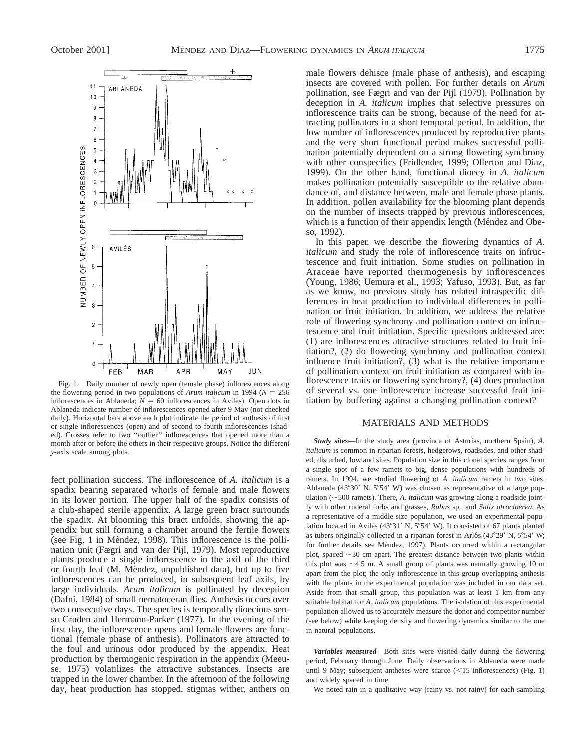

Fig. 1. Daily number of newly open (female phase) inflorescences along the flowering period in two populations of *Arum italicum* in 1994 ( $N = 256$ ) inflorescences in Ablaneda;  $N = 60$  inflorescences in Avilés). Open dots in Ablaneda indicate number of inflorescences opened after 9 May (not checked daily). Horizontal bars above each plot indicate the period of anthesis of first or single inflorescences (open) and of second to fourth inflorescences (shaded). Crosses refer to two ''outlier'' inflorescences that opened more than a month after or before the others in their respective groups. Notice the different *y*-axis scale among plots.

fect pollination success. The inflorescence of *A. italicum* is a spadix bearing separated whorls of female and male flowers in its lower portion. The upper half of the spadix consists of a club-shaped sterile appendix. A large green bract surrounds the spadix. At blooming this bract unfolds, showing the appendix but still forming a chamber around the fertile flowers (see Fig. 1 in Méndez, 1998). This inflorescence is the pollination unit (Fægri and van der Pijl, 1979). Most reproductive plants produce a single inflorescence in the axil of the third or fourth leaf (M. Méndez, unpublished data), but up to five inflorescences can be produced, in subsequent leaf axils, by large individuals. *Arum italicum* is pollinated by deception (Dafni, 1984) of small nematoceran flies. Anthesis occurs over two consecutive days. The species is temporally dioecious sensu Cruden and Hermann-Parker (1977). In the evening of the first day, the inflorescence opens and female flowers are functional (female phase of anthesis). Pollinators are attracted to the foul and urinous odor produced by the appendix. Heat production by thermogenic respiration in the appendix (Meeuse, 1975) volatilizes the attractive substances. Insects are trapped in the lower chamber. In the afternoon of the following day, heat production has stopped, stigmas wither, anthers on

male flowers dehisce (male phase of anthesis), and escaping insects are covered with pollen. For further details on *Arum* pollination, see Fægri and van der Pijl (1979). Pollination by deception in *A. italicum* implies that selective pressures on inflorescence traits can be strong, because of the need for attracting pollinators in a short temporal period. In addition, the low number of inflorescences produced by reproductive plants and the very short functional period makes successful pollination potentially dependent on a strong flowering synchrony with other conspecifics (Fridlender, 1999; Ollerton and Díaz, 1999). On the other hand, functional dioecy in *A. italicum* makes pollination potentially susceptible to the relative abundance of, and distance between, male and female phase plants. In addition, pollen availability for the blooming plant depends on the number of insects trapped by previous inflorescences, which is a function of their appendix length (Méndez and Obeso, 1992).

In this paper, we describe the flowering dynamics of *A. italicum* and study the role of inflorescence traits on infructescence and fruit initiation. Some studies on pollination in Araceae have reported thermogenesis by inflorescences (Young, 1986; Uemura et al., 1993; Yafuso, 1993). But, as far as we know, no previous study has related intraspecific differences in heat production to individual differences in pollination or fruit initiation. In addition, we address the relative role of flowering synchrony and pollination context on infructescence and fruit initiation. Specific questions addressed are: (1) are inflorescences attractive structures related to fruit initiation?, (2) do flowering synchrony and pollination context influence fruit initiation?, (3) what is the relative importance of pollination context on fruit initiation as compared with inflorescence traits or flowering synchrony?, (4) does production of several vs. one inflorescence increase successful fruit initiation by buffering against a changing pollination context?

## MATERIALS AND METHODS

*Study sites*—In the study area (province of Asturias, northern Spain), *A. italicum* is common in riparian forests, hedgerows, roadsides, and other shaded, disturbed, lowland sites. Population size in this clonal species ranges from a single spot of a few ramets to big, dense populations with hundreds of ramets. In 1994, we studied flowering of *A. italicum* ramets in two sites. Ablaneda (43°30' N, 5°54' W) was chosen as representative of a large population ( $\sim$ 500 ramets). There, *A. italicum* was growing along a roadside jointly with other ruderal forbs and grasses, *Rubus* sp., and *Salix atrocinerea.* As a representative of a middle size population, we used an experimental population located in Avilés (43°31′ N, 5°54′ W). It consisted of 67 plants planted as tubers originally collected in a riparian forest in Arlós (43°29' N, 5°54' W; for further details see Méndez, 1997). Plants occurred within a rectangular plot, spaced  $\sim$ 30 cm apart. The greatest distance between two plants within this plot was  $\sim$  4.5 m. A small group of plants was naturally growing 10 m apart from the plot; the only inflorescence in this group overlapping anthesis with the plants in the experimental population was included in our data set. Aside from that small group, this population was at least 1 km from any suitable habitat for *A. italicum* populations. The isolation of this experimental population allowed us to accurately measure the donor and competitor number (see below) while keeping density and flowering dynamics similar to the one in natural populations.

*Variables measured*—Both sites were visited daily during the flowering period, February through June. Daily observations in Ablaneda were made until 9 May; subsequent antheses were scarce  $(<15$  inflorescences) (Fig. 1) and widely spaced in time.

We noted rain in a qualitative way (rainy vs. not rainy) for each sampling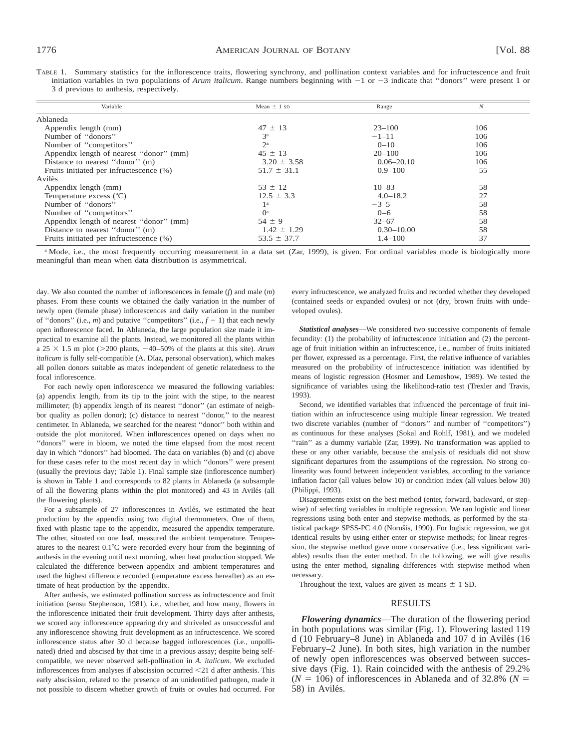TABLE 1. Summary statistics for the inflorescence traits, flowering synchrony, and pollination context variables and for infructescence and fruit initiation variables in two populations of *Arum italicum*. Range numbers beginning with  $-1$  or  $-3$  indicate that "donors" were present 1 or 3 d previous to anthesis, respectively.

| Variable                                | Mean $\pm$ 1 sp | Range          | N   |
|-----------------------------------------|-----------------|----------------|-----|
| Ablaneda                                |                 |                |     |
| Appendix length (mm)                    | $47 \pm 13$     | $23 - 100$     | 106 |
| Number of "donors"                      | 3 <sup>a</sup>  | $-1-11$        | 106 |
| Number of "competitors"                 | $2^{\rm a}$     | $0 - 10$       | 106 |
| Appendix length of nearest "donor" (mm) | $45 \pm 13$     | $20 - 100$     | 106 |
| Distance to nearest "donor" (m)         | $3.20 \pm 3.58$ | $0.06 - 20.10$ | 106 |
| Fruits initiated per infructescence (%) | $51.7 \pm 31.1$ | $0.9 - 100$    | 55  |
| Avilés                                  |                 |                |     |
| Appendix length (mm)                    | $53 \pm 12$     | $10 - 83$      | 58  |
| Temperature excess $(^{\circ}C)$        | $12.5 \pm 3.3$  | $4.0 - 18.2$   | 27  |
| Number of "donors"                      | 1 <sup>a</sup>  | $-3-5$         | 58  |
| Number of "competitors"                 | $()^a$          | $0 - 6$        | 58  |
| Appendix length of nearest "donor" (mm) | $54 \pm 9$      | $32 - 67$      | 58  |
| Distance to nearest "donor" (m)         | $1.42 \pm 1.29$ | $0.30 - 10.00$ | 58  |
| Fruits initiated per infructescence (%) | $53.5 \pm 37.7$ | $1.4 - 100$    | 37  |

<sup>a</sup> Mode, i.e., the most frequently occurring measurement in a data set (Zar, 1999), is given. For ordinal variables mode is biologically more meaningful than mean when data distribution is asymmetrical.

day. We also counted the number of inflorescences in female (*f*) and male (*m*) phases. From these counts we obtained the daily variation in the number of newly open (female phase) inflorescences and daily variation in the number of "donors" (i.e.,  $m$ ) and putative "competitors" (i.e.,  $f - 1$ ) that each newly open inflorescence faced. In Ablaneda, the large population size made it impractical to examine all the plants. Instead, we monitored all the plants within a  $25 \times 1.5$  m plot ( $>$ 200 plants,  $\sim$ 40–50% of the plants at this site). *Arum italicum* is fully self-compatible (A. Díaz, personal observation), which makes all pollen donors suitable as mates independent of genetic relatedness to the focal inflorescence.

For each newly open inflorescence we measured the following variables: (a) appendix length, from its tip to the joint with the stipe, to the nearest millimeter; (b) appendix length of its nearest ''donor'' (an estimate of neighbor quality as pollen donor); (c) distance to nearest ''donor,'' to the nearest centimeter. In Ablaneda, we searched for the nearest ''donor'' both within and outside the plot monitored. When inflorescences opened on days when no ''donors'' were in bloom, we noted the time elapsed from the most recent day in which ''donors'' had bloomed. The data on variables (b) and (c) above for these cases refer to the most recent day in which ''donors'' were present (usually the previous day; Table 1). Final sample size (inflorescence number) is shown in Table 1 and corresponds to 82 plants in Ablaneda (a subsample of all the flowering plants within the plot monitored) and 43 in Avilés (all the flowering plants).

For a subsample of 27 inflorescences in Avilés, we estimated the heat production by the appendix using two digital thermometers. One of them, fixed with plastic tape to the appendix, measured the appendix temperature. The other, situated on one leaf, measured the ambient temperature. Temperatures to the nearest  $0.1^{\circ}$ C were recorded every hour from the beginning of anthesis in the evening until next morning, when heat production stopped. We calculated the difference between appendix and ambient temperatures and used the highest difference recorded (temperature excess hereafter) as an estimate of heat production by the appendix.

After anthesis, we estimated pollination success as infructescence and fruit initiation (sensu Stephenson, 1981), i.e., whether, and how many, flowers in the inflorescence initiated their fruit development. Thirty days after anthesis, we scored any inflorescence appearing dry and shriveled as unsuccessful and any inflorescence showing fruit development as an infructescence. We scored inflorescence status after 30 d because bagged inflorescences (i.e., unpollinated) dried and abscised by that time in a previous assay; despite being selfcompatible, we never observed self-pollination in *A. italicum.* We excluded inflorescences from analyses if abscission occurred  $<$ 21 d after anthesis. This early abscission, related to the presence of an unidentified pathogen, made it not possible to discern whether growth of fruits or ovules had occurred. For

every infructescence, we analyzed fruits and recorded whether they developed (contained seeds or expanded ovules) or not (dry, brown fruits with undeveloped ovules).

*Statistical analyses*—We considered two successive components of female fecundity: (1) the probability of infructescence initiation and (2) the percentage of fruit initiation within an infructescence, i.e., number of fruits initiated per flower, expressed as a percentage. First, the relative influence of variables measured on the probability of infructescence initiation was identified by means of logistic regression (Hosmer and Lemeshow, 1989). We tested the significance of variables using the likelihood-ratio test (Trexler and Travis, 1993).

Second, we identified variables that influenced the percentage of fruit initiation within an infructescence using multiple linear regression. We treated two discrete variables (number of ''donors'' and number of ''competitors'') as continuous for these analyses (Sokal and Rohlf, 1981), and we modeled "rain" as a dummy variable (Zar, 1999). No transformation was applied to these or any other variable, because the analysis of residuals did not show significant departures from the assumptions of the regression. No strong colinearity was found between independent variables, according to the variance inflation factor (all values below 10) or condition index (all values below 30) (Philippi, 1993).

Disagreements exist on the best method (enter, forward, backward, or stepwise) of selecting variables in multiple regression. We ran logistic and linear regressions using both enter and stepwise methods, as performed by the statistical package SPSS-PC 4.0 (Norušis, 1990). For logistic regression, we got identical results by using either enter or stepwise methods; for linear regression, the stepwise method gave more conservative (i.e., less significant variables) results than the enter method. In the following, we will give results using the enter method, signaling differences with stepwise method when necessary.

Throughout the text, values are given as means  $\pm$  1 SD.

# RESULTS

*Flowering dynamics*—The duration of the flowering period in both populations was similar (Fig. 1). Flowering lasted 119 d (10 February–8 June) in Ablaneda and  $107$  d in Avilés (16 February–2 June). In both sites, high variation in the number of newly open inflorescences was observed between successive days (Fig. 1). Rain coincided with the anthesis of 29.2%  $(N = 106)$  of inflorescences in Ablaneda and of 32.8% ( $N =$ 58) in Avilés.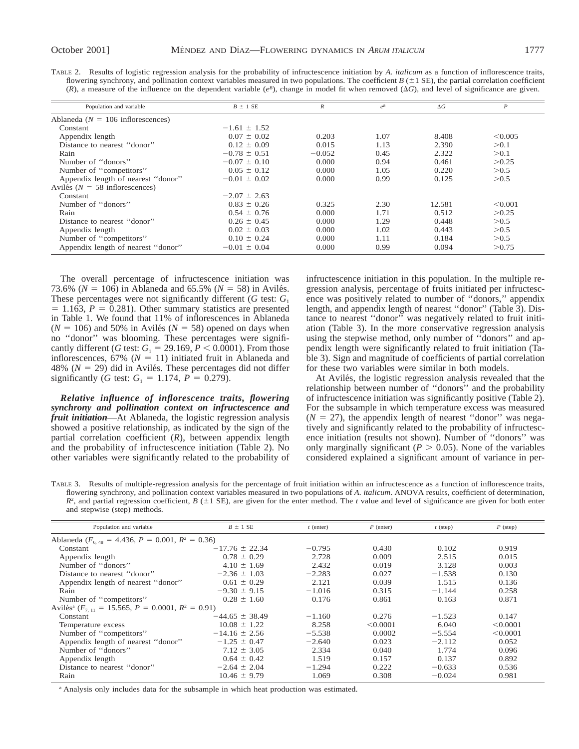| TABLE 2. Results of logistic regression analysis for the probability of infructescence initiation by A. <i>italicum</i> as a function of inflorescence traits,   |
|------------------------------------------------------------------------------------------------------------------------------------------------------------------|
| flowering synchrony, and pollination context variables measured in two populations. The coefficient $B (\pm 1 \text{ SE})$ , the partial correlation coefficient |
| (R), a measure of the influence on the dependent variable $(e^B)$ , change in model fit when removed $(\Delta G)$ , and level of significance are given.         |

| Population and variable              | $B \pm 1$ SE     | $\boldsymbol{R}$ | $e^{B}$ | $\Delta G$ | $\boldsymbol{P}$ |
|--------------------------------------|------------------|------------------|---------|------------|------------------|
| Ablaneda ( $N = 106$ inflorescences) |                  |                  |         |            |                  |
| Constant                             | $-1.61 \pm 1.52$ |                  |         |            |                  |
| Appendix length                      | $0.07 \pm 0.02$  | 0.203            | 1.07    | 8.408      | < 0.005          |
| Distance to nearest "donor"          | $0.12 \pm 0.09$  | 0.015            | 1.13    | 2.390      | > 0.1            |
| Rain                                 | $-0.78 \pm 0.51$ | $-0.052$         | 0.45    | 2.322      | > 0.1            |
| Number of "donors"                   | $-0.07 \pm 0.10$ | 0.000            | 0.94    | 0.461      | > 0.25           |
| Number of "competitors"              | $0.05 \pm 0.12$  | 0.000            | 1.05    | 0.220      | > 0.5            |
| Appendix length of nearest "donor"   | $-0.01 \pm 0.02$ | 0.000            | 0.99    | 0.125      | > 0.5            |
| Avilés ( $N = 58$ inflorescences)    |                  |                  |         |            |                  |
| Constant                             | $-2.07 \pm 2.63$ |                  |         |            |                  |
| Number of "donors"                   | $0.83 \pm 0.26$  | 0.325            | 2.30    | 12.581     | < 0.001          |
| Rain                                 | $0.54 \pm 0.76$  | 0.000            | 1.71    | 0.512      | > 0.25           |
| Distance to nearest "donor"          | $0.26 \pm 0.45$  | 0.000            | 1.29    | 0.448      | > 0.5            |
| Appendix length                      | $0.02 \pm 0.03$  | 0.000            | 1.02    | 0.443      | > 0.5            |
| Number of "competitors"              | $0.10 \pm 0.24$  | 0.000            | 1.11    | 0.184      | > 0.5            |
| Appendix length of nearest "donor"   | $-0.01 \pm 0.04$ | 0.000            | 0.99    | 0.094      | >0.75            |

The overall percentage of infructescence initiation was 73.6% ( $N = 106$ ) in Ablaneda and 65.5% ( $N = 58$ ) in Avilés. These percentages were not significantly different ( $G$  test:  $G_1$  $= 1.163$ ,  $P = 0.281$ ). Other summary statistics are presented in Table 1. We found that 11% of inflorescences in Ablaneda  $(N = 106)$  and 50% in Avilés ( $N = 58$ ) opened on days when no ''donor'' was blooming. These percentages were significantly different (*G* test:  $G_1 = 29.169, P < 0.0001$ ). From those inflorescences,  $67\%$  ( $N = 11$ ) initiated fruit in Ablaneda and 48% ( $N = 29$ ) did in Avilés. These percentages did not differ significantly (*G* test:  $G_1 = 1.174, P = 0.279$ ).

*Relative influence of inflorescence traits, flowering synchrony and pollination context on infructescence and fruit initiation*—At Ablaneda, the logistic regression analysis showed a positive relationship, as indicated by the sign of the partial correlation coefficient (*R*), between appendix length and the probability of infructescence initiation (Table 2). No other variables were significantly related to the probability of infructescence initiation in this population. In the multiple regression analysis, percentage of fruits initiated per infructescence was positively related to number of ''donors,'' appendix length, and appendix length of nearest ''donor'' (Table 3). Distance to nearest ''donor'' was negatively related to fruit initiation (Table 3). In the more conservative regression analysis using the stepwise method, only number of ''donors'' and appendix length were significantly related to fruit initiation (Table 3). Sign and magnitude of coefficients of partial correlation for these two variables were similar in both models.

At Avilés, the logistic regression analysis revealed that the relationship between number of ''donors'' and the probability of infructescence initiation was significantly positive (Table 2). For the subsample in which temperature excess was measured  $(N = 27)$ , the appendix length of nearest "donor" was negatively and significantly related to the probability of infructescence initiation (results not shown). Number of ''donors'' was only marginally significant ( $P > 0.05$ ). None of the variables considered explained a significant amount of variance in per-

TABLE 3. Results of multiple-regression analysis for the percentage of fruit initiation within an infructescence as a function of inflorescence traits, flowering synchrony, and pollination context variables measured in two populations of *A. italicum*. ANOVA results, coefficient of determination,  $R^2$ , and partial regression coefficient,  $B(±1$  SE), are given for the enter method. The *t* value and level of significance are given for both enter and stepwise (step) methods.

| Population and variable                                                   | $B \pm 1$ SE       | $t$ (enter) | $P$ (enter) | $t$ (step) | $P$ (step)    |
|---------------------------------------------------------------------------|--------------------|-------------|-------------|------------|---------------|
| Ablaneda ( $F_{6.48} = 4.436$ , $P = 0.001$ , $R^2 = 0.36$ )              |                    |             |             |            |               |
| Constant                                                                  | $-17.76 \pm 22.34$ | $-0.795$    | 0.430       | 0.102      | 0.919         |
| Appendix length                                                           | $0.78 \pm 0.29$    | 2.728       | 0.009       | 2.515      | 0.015         |
| Number of "donors"                                                        | $4.10 \pm 1.69$    | 2.432       | 0.019       | 3.128      | 0.003         |
| Distance to nearest "donor"                                               | $-2.36 \pm 1.03$   | $-2.283$    | 0.027       | $-1.538$   | 0.130         |
| Appendix length of nearest "donor"                                        | $0.61 \pm 0.29$    | 2.121       | 0.039       | 1.515      | 0.136         |
| Rain                                                                      | $-9.30 \pm 9.15$   | $-1.016$    | 0.315       | $-1.144$   | 0.258         |
| Number of "competitors"                                                   | $0.28 \pm 1.60$    | 0.176       | 0.861       | 0.163      | 0.871         |
| Avilés <sup>a</sup> ( $F_{7,11} = 15.565$ , $P = 0.0001$ , $R^2 = 0.91$ ) |                    |             |             |            |               |
| Constant                                                                  | $-44.65 \pm 38.49$ | $-1.160$    | 0.276       | $-1.523$   | 0.147         |
| Temperature excess                                                        | $10.08 \pm 1.22$   | 8.258       | < 0.0001    | 6.040      | $\leq 0.0001$ |
| Number of "competitors"                                                   | $-14.16 \pm 2.56$  | $-5.538$    | 0.0002      | $-5.554$   | < 0.0001      |
| Appendix length of nearest "donor"                                        | $-1.25 \pm 0.47$   | $-2.640$    | 0.023       | $-2.112$   | 0.052         |
| Number of "donors"                                                        | $7.12 \pm 3.05$    | 2.334       | 0.040       | 1.774      | 0.096         |
| Appendix length                                                           | $0.64 \pm 0.42$    | 1.519       | 0.157       | 0.137      | 0.892         |
| Distance to nearest "donor"                                               | $-2.64 \pm 2.04$   | $-1.294$    | 0.222       | $-0.633$   | 0.536         |
| Rain                                                                      | $10.46 \pm 9.79$   | 1.069       | 0.308       | $-0.024$   | 0.981         |

<sup>a</sup> Analysis only includes data for the subsample in which heat production was estimated.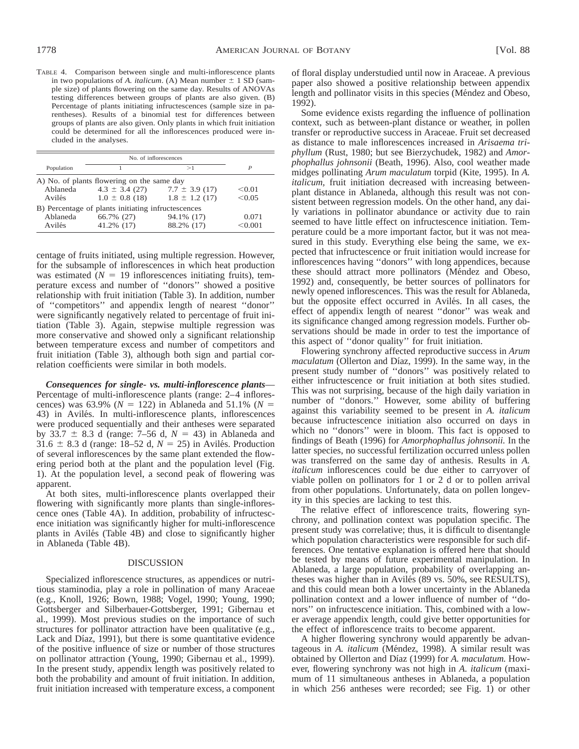TABLE 4. Comparison between single and multi-inflorescence plants in two populations of *A. italicum.* (A) Mean number  $\pm$  1 SD (sample size) of plants flowering on the same day. Results of ANOVAs testing differences between groups of plants are also given. (B) Percentage of plants initiating infructescences (sample size in parentheses). Results of a binomial test for differences between groups of plants are also given. Only plants in which fruit initiation could be determined for all the inflorescences produced were included in the analyses.

| Population                                         |                    | >1                 | P       |  |  |
|----------------------------------------------------|--------------------|--------------------|---------|--|--|
| A) No. of plants flowering on the same day         |                    |                    |         |  |  |
| Ablaneda                                           | $4.3 \pm 3.4$ (27) | $7.7 \pm 3.9$ (17) | < 0.01  |  |  |
| Avilés                                             | $1.0 \pm 0.8$ (18) | $1.8 \pm 1.2$ (17) | < 0.05  |  |  |
| B) Percentage of plants initiating infructescences |                    |                    |         |  |  |
| Ablaneda                                           | 66.7% (27)         | 94.1% (17)         | 0.071   |  |  |
| Avilés                                             | 41.2% (17)         | 88.2% (17)         | < 0.001 |  |  |

centage of fruits initiated, using multiple regression. However, for the subsample of inflorescences in which heat production was estimated  $(N = 19)$  inflorescences initiating fruits), temperature excess and number of ''donors'' showed a positive relationship with fruit initiation (Table 3). In addition, number of ''competitors'' and appendix length of nearest ''donor'' were significantly negatively related to percentage of fruit initiation (Table 3). Again, stepwise multiple regression was more conservative and showed only a significant relationship between temperature excess and number of competitors and fruit initiation (Table 3), although both sign and partial correlation coefficients were similar in both models.

*Consequences for single- vs. multi-inflorescence plants*— Percentage of multi-inflorescence plants (range: 2–4 inflorescences) was 63.9% ( $N = 122$ ) in Ablaneda and 51.1% ( $N =$ 43) in Avilés. In multi-inflorescence plants, inflorescences were produced sequentially and their antheses were separated by 33.7  $\pm$  8.3 d (range: 7–56 d,  $N = 43$ ) in Ablaneda and 31.6  $\pm$  8.3 d (range: 18–52 d,  $N = 25$ ) in Avilés. Production of several inflorescences by the same plant extended the flowering period both at the plant and the population level (Fig. 1). At the population level, a second peak of flowering was apparent.

At both sites, multi-inflorescence plants overlapped their flowering with significantly more plants than single-inflorescence ones (Table 4A). In addition, probability of infructescence initiation was significantly higher for multi-inflorescence plants in Avilés (Table 4B) and close to significantly higher in Ablaneda (Table 4B).

## DISCUSSION

Specialized inflorescence structures, as appendices or nutritious staminodia, play a role in pollination of many Araceae (e.g., Knoll, 1926; Bown, 1988; Vogel, 1990; Young, 1990; Gottsberger and Silberbauer-Gottsberger, 1991; Gibernau et al., 1999). Most previous studies on the importance of such structures for pollinator attraction have been qualitative (e.g., Lack and Díaz, 1991), but there is some quantitative evidence of the positive influence of size or number of those structures on pollinator attraction (Young, 1990; Gibernau et al., 1999). In the present study, appendix length was positively related to both the probability and amount of fruit initiation. In addition, fruit initiation increased with temperature excess, a component of floral display understudied until now in Araceae. A previous paper also showed a positive relationship between appendix length and pollinator visits in this species (Méndez and Obeso, 1992).

Some evidence exists regarding the influence of pollination context, such as between-plant distance or weather, in pollen transfer or reproductive success in Araceae. Fruit set decreased as distance to male inflorescences increased in *Arisaema triphyllum* (Rust, 1980; but see Bierzychudek, 1982) and *Amorphophallus johnsonii* (Beath, 1996). Also, cool weather made midges pollinating *Arum maculatum* torpid (Kite, 1995). In *A. italicum,* fruit initiation decreased with increasing betweenplant distance in Ablaneda, although this result was not consistent between regression models. On the other hand, any daily variations in pollinator abundance or activity due to rain seemed to have little effect on infructescence initiation. Temperature could be a more important factor, but it was not measured in this study. Everything else being the same, we expected that infructescence or fruit initiation would increase for inflorescences having ''donors'' with long appendices, because these should attract more pollinators (Méndez and Obeso, 1992) and, consequently, be better sources of pollinators for newly opened inflorescences. This was the result for Ablaneda, but the opposite effect occurred in Avilés. In all cases, the effect of appendix length of nearest ''donor'' was weak and its significance changed among regression models. Further observations should be made in order to test the importance of this aspect of ''donor quality'' for fruit initiation.

Flowering synchrony affected reproductive success in *Arum maculatum* (Ollerton and Díaz, 1999). In the same way, in the present study number of ''donors'' was positively related to either infructescence or fruit initiation at both sites studied. This was not surprising, because of the high daily variation in number of ''donors.'' However, some ability of buffering against this variability seemed to be present in *A. italicum* because infructescence initiation also occurred on days in which no ''donors'' were in bloom. This fact is opposed to findings of Beath (1996) for *Amorphophallus johnsonii.* In the latter species, no successful fertilization occurred unless pollen was transferred on the same day of anthesis. Results in *A. italicum* inflorescences could be due either to carryover of viable pollen on pollinators for 1 or 2 d or to pollen arrival from other populations. Unfortunately, data on pollen longevity in this species are lacking to test this.

The relative effect of inflorescence traits, flowering synchrony, and pollination context was population specific. The present study was correlative; thus, it is difficult to disentangle which population characteristics were responsible for such differences. One tentative explanation is offered here that should be tested by means of future experimental manipulation. In Ablaneda, a large population, probability of overlapping antheses was higher than in Avilés (89 vs. 50%, see RESULTS), and this could mean both a lower uncertainty in the Ablaneda pollination context and a lower influence of number of ''donors'' on infructescence initiation. This, combined with a lower average appendix length, could give better opportunities for the effect of inflorescence traits to become apparent.

A higher flowering synchrony would apparently be advantageous in *A. italicum* (Méndez, 1998). A similar result was obtained by Ollerton and Díaz (1999) for *A. maculatum*. However, flowering synchrony was not high in *A. italicum* (maximum of 11 simultaneous antheses in Ablaneda, a population in which 256 antheses were recorded; see Fig. 1) or other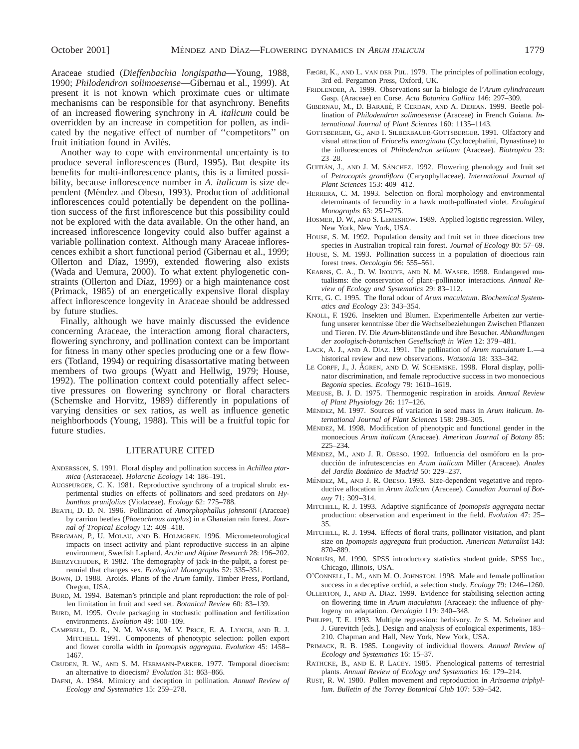Araceae studied (*Dieffenbachia longispatha*—Young, 1988, 1990; *Philodendron solimoesense*—Gibernau et al., 1999). At present it is not known which proximate cues or ultimate mechanisms can be responsible for that asynchrony. Benefits of an increased flowering synchrony in *A. italicum* could be overridden by an increase in competition for pollen, as indicated by the negative effect of number of ''competitors'' on fruit initiation found in Avilés.

Another way to cope with environmental uncertainty is to produce several inflorescences (Burd, 1995). But despite its benefits for multi-inflorescence plants, this is a limited possibility, because inflorescence number in *A. italicum* is size dependent (Méndez and Obeso, 1993). Production of additional inflorescences could potentially be dependent on the pollination success of the first inflorescence but this possibility could not be explored with the data available. On the other hand, an increased inflorescence longevity could also buffer against a variable pollination context. Although many Araceae inflorescences exhibit a short functional period (Gibernau et al., 1999; Ollerton and Díaz, 1999), extended flowering also exists (Wada and Uemura, 2000). To what extent phylogenetic constraints (Ollerton and Díaz, 1999) or a high maintenance cost (Primack, 1985) of an energetically expensive floral display affect inflorescence longevity in Araceae should be addressed by future studies.

Finally, although we have mainly discussed the evidence concerning Araceae, the interaction among floral characters, flowering synchrony, and pollination context can be important for fitness in many other species producing one or a few flowers (Totland, 1994) or requiring disassortative mating between members of two groups (Wyatt and Hellwig, 1979; House, 1992). The pollination context could potentially affect selective pressures on flowering synchrony or floral characters (Schemske and Horvitz, 1989) differently in populations of varying densities or sex ratios, as well as influence genetic neighborhoods (Young, 1988). This will be a fruitful topic for future studies.

#### LITERATURE CITED

- ANDERSSON, S. 1991. Floral display and pollination success in *Achillea ptarmica* (Asteraceae). *Holarctic Ecology* 14: 186–191.
- AUGSPURGER, C. K. 1981. Reproductive synchrony of a tropical shrub: experimental studies on effects of pollinators and seed predators on *Hybanthus prunifolius* (Violaceae). *Ecology* 62: 775–788.
- BEATH, D. D. N. 1996. Pollination of *Amorphophallus johnsonii* (Araceae) by carrion beetles (*Phaeochrous amplus*) in a Ghanaian rain forest. *Journal of Tropical Ecology* 12: 409–418.
- BERGMAN, P., U. MOLAU, AND B. HOLMGREN. 1996. Micrometeorological impacts on insect activity and plant reproductive success in an alpine environment, Swedish Lapland. *Arctic and Alpine Research* 28: 196–202.
- BIERZYCHUDEK, P. 1982. The demography of jack-in-the-pulpit, a forest perennial that changes sex. *Ecological Monographs* 52: 335–351.
- BOWN, D. 1988. Aroids. Plants of the *Arum* family. Timber Press, Portland, Oregon, USA.
- BURD, M. 1994. Bateman's principle and plant reproduction: the role of pollen limitation in fruit and seed set. *Botanical Review* 60: 83–139.
- BURD, M. 1995. Ovule packaging in stochastic pollination and fertilization environments. *Evolution* 49: 100–109.
- CAMPBELL, D. R., N. M. WASER, M. V. PRICE, E. A. LYNCH, AND R. J. MITCHELL. 1991. Components of phenotypic selection: pollen export and flower corolla width in *Ipomopsis aggregata*. *Evolution* 45: 1458– 1467.
- CRUDEN, R. W., AND S. M. HERMANN-PARKER. 1977. Temporal dioecism: an alternative to dioecism? *Evolution* 31: 863–866.
- DAFNI, A. 1984. Mimicry and deception in pollination. *Annual Review of Ecology and Systematics* 15: 259–278.
- FæGRI, K., AND L. VAN DER PIJL. 1979. The principles of pollination ecology, 3rd ed. Pergamon Press, Oxford, UK.
- FRIDLENDER, A. 1999. Observations sur la biologie de l'*Arum cylindraceum* Gasp. (Araceae) en Corse. *Acta Botanica Gallica* 146: 297–309.
- GIBERNAU, M., D. BARABE´, P. CERDAN, AND A. DEJEAN. 1999. Beetle pollination of *Philodendron solimoesense* (Araceae) in French Guiana. *International Journal of Plant Sciences* 160: 1135–1143.
- GOTTSBERGER, G., AND I. SILBERBAUER-GOTTSBERGER. 1991. Olfactory and visual attraction of *Eriocelis emarginata* (Cyclocephalini, Dynastinae) to the inflorescences of *Philodendron selloum* (Araceae). *Biotropica* 23: 23–28.
- GUITIÁN, J., AND J. M. SÁNCHEZ. 1992. Flowering phenology and fruit set of *Petrocoptis grandiflora* (Caryophyllaceae). *International Journal of Plant Sciences* 153: 409–412.
- HERRERA, C. M. 1993. Selection on floral morphology and environmental determinants of fecundity in a hawk moth-pollinated violet. *Ecological Monographs* 63: 251–275.
- HOSMER, D. W., AND S. LEMESHOW. 1989. Applied logistic regression. Wiley, New York, New York, USA.
- HOUSE, S. M. 1992. Population density and fruit set in three dioecious tree species in Australian tropical rain forest. *Journal of Ecology* 80: 57–69.
- HOUSE, S. M. 1993. Pollination success in a population of dioecious rain forest trees. *Oecologia* 96: 555–561.
- KEARNS, C. A., D. W. INOUYE, AND N. M. WASER. 1998. Endangered mutualisms: the conservation of plant–pollinator interactions. *Annual Review of Ecology and Systematics* 29: 83–112.
- KITE, G. C. 1995. The floral odour of *Arum maculatum*. *Biochemical Systematics and Ecology* 23: 343–354.
- KNOLL, F. 1926. Insekten und Blumen. Experimentelle Arbeiten zur vertiefung unserer kenntnisse über die Wechselbeziehungen Zwischen Pflanzen und Tieren. IV. Die *Arum*-blütenstände und ihre Besucher. *Abhandlungen der zoologisch-botanischen Gesellschaft in Wien* 12: 379–481.
- LACK, A. J., AND A. DÍAZ. 1991. The pollination of *Arum maculatum* L.—a historical review and new observations. *Watsonia* 18: 333–342.
- LE CORFF, J., J. AGREN, AND D. W. SCHEMSKE. 1998. Floral display, pollinator discrimination, and female reproductive success in two monoecious *Begonia* species. *Ecology* 79: 1610–1619.
- MEEUSE, B. J. D. 1975. Thermogenic respiration in aroids. *Annual Review of Plant Physiology* 26: 117–126.
- MÉNDEZ, M. 1997. Sources of variation in seed mass in *Arum italicum*. In*ternational Journal of Plant Sciences* 158: 298–305.
- MÉNDEZ, M. 1998. Modification of phenotypic and functional gender in the monoecious *Arum italicum* (Araceae). *American Journal of Botany* 85: 225–234.
- MÉNDEZ, M., AND J. R. OBESO. 1992. Influencia del osmóforo en la produccio´n de infrutescencias en *Arum italicum* Miller (Araceae). *Anales del Jardı´n Bota´nico de Madrid* 50: 229–237.
- MÉNDEZ, M., AND J. R. OBESO. 1993. Size-dependent vegetative and reproductive allocation in *Arum italicum* (Araceae). *Canadian Journal of Botany* 71: 309–314.
- MITCHELL, R. J. 1993. Adaptive significance of *Ipomopsis aggregata* nectar production: observation and experiment in the field. *Evolution* 47: 25– 35.
- MITCHELL, R. J. 1994. Effects of floral traits, pollinator visitation, and plant size on *Ipomopsis aggregata* fruit production. *American Naturalist* 143: 870–889.
- NORUŠIS, M. 1990. SPSS introductory statistics student guide. SPSS Inc., Chicago, Illinois, USA.
- O'CONNELL, L. M., AND M. O. JOHNSTON. 1998. Male and female pollination success in a deceptive orchid, a selection study. *Ecology* 79: 1246–1260.
- OLLERTON, J., AND A. DÍAZ. 1999. Evidence for stabilising selection acting on flowering time in *Arum maculatum* (Araceae): the influence of phylogeny on adaptation. *Oecologia* 119: 340–348.
- PHILIPPI, T. E. 1993. Multiple regression: herbivory. *In* S. M. Scheiner and J. Gurevitch [eds.], Design and analysis of ecological experiments, 183– 210. Chapman and Hall, New York, New York, USA.
- PRIMACK, R. B. 1985. Longevity of individual flowers. *Annual Review of Ecology and Systematics* 16: 15–37.
- RATHCKE, B., AND E. P. LACEY. 1985. Phenological patterns of terrestrial plants. *Annual Review of Ecology and Systematics* 16: 179–214.
- RUST, R. W. 1980. Pollen movement and reproduction in *Arisaema triphyllum*. *Bulletin of the Torrey Botanical Club* 107: 539–542.